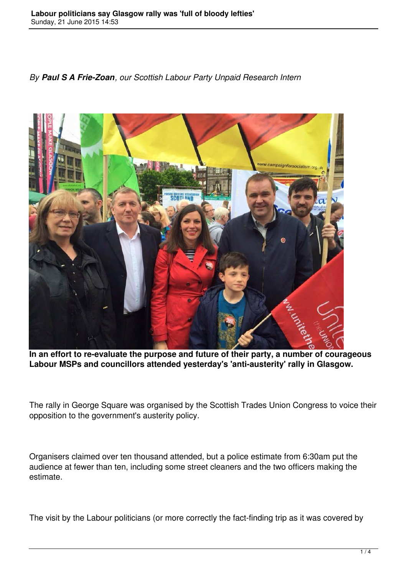*By Paul S A Frie-Zoan, our Scottish Labour Party Unpaid Research Intern*



**In an effort to re-evaluate the purpose and future of their party, a number of courageous Labour MSPs and councillors attended yesterday's 'anti-austerity' rally in Glasgow.**

The rally in George Square was organised by the Scottish Trades Union Congress to voice their opposition to the government's austerity policy.

Organisers claimed over ten thousand attended, but a police estimate from 6:30am put the audience at fewer than ten, including some street cleaners and the two officers making the estimate.

The visit by the Labour politicians (or more correctly the fact-finding trip as it was covered by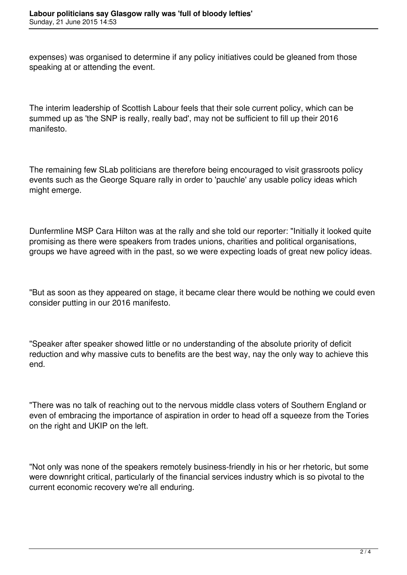expenses) was organised to determine if any policy initiatives could be gleaned from those speaking at or attending the event.

The interim leadership of Scottish Labour feels that their sole current policy, which can be summed up as 'the SNP is really, really bad', may not be sufficient to fill up their 2016 manifesto.

The remaining few SLab politicians are therefore being encouraged to visit grassroots policy events such as the George Square rally in order to 'pauchle' any usable policy ideas which might emerge.

Dunfermline MSP Cara Hilton was at the rally and she told our reporter: "Initially it looked quite promising as there were speakers from trades unions, charities and political organisations, groups we have agreed with in the past, so we were expecting loads of great new policy ideas.

"But as soon as they appeared on stage, it became clear there would be nothing we could even consider putting in our 2016 manifesto.

"Speaker after speaker showed little or no understanding of the absolute priority of deficit reduction and why massive cuts to benefits are the best way, nay the only way to achieve this end.

"There was no talk of reaching out to the nervous middle class voters of Southern England or even of embracing the importance of aspiration in order to head off a squeeze from the Tories on the right and UKIP on the left.

"Not only was none of the speakers remotely business-friendly in his or her rhetoric, but some were downright critical, particularly of the financial services industry which is so pivotal to the current economic recovery we're all enduring.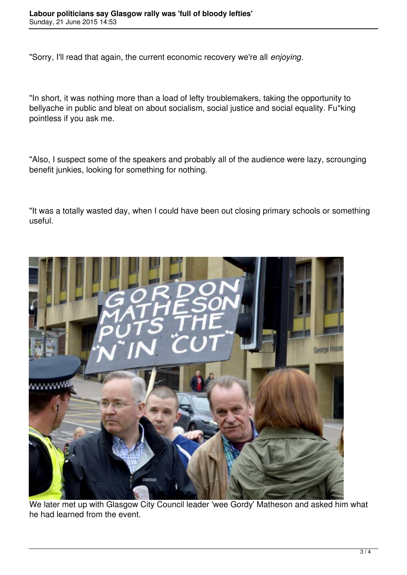"Sorry, I'll read that again, the current economic recovery we're all *enjoying*.

"In short, it was nothing more than a load of lefty troublemakers, taking the opportunity to bellyache in public and bleat on about socialism, social justice and social equality. Fu\*king pointless if you ask me.

"Also, I suspect some of the speakers and probably all of the audience were lazy, scrounging benefit junkies, looking for something for nothing.

"It was a totally wasted day, when I could have been out closing primary schools or something useful.



We later met up with Glasgow City Council leader 'wee Gordy' Matheson and asked him what he had learned from the event.